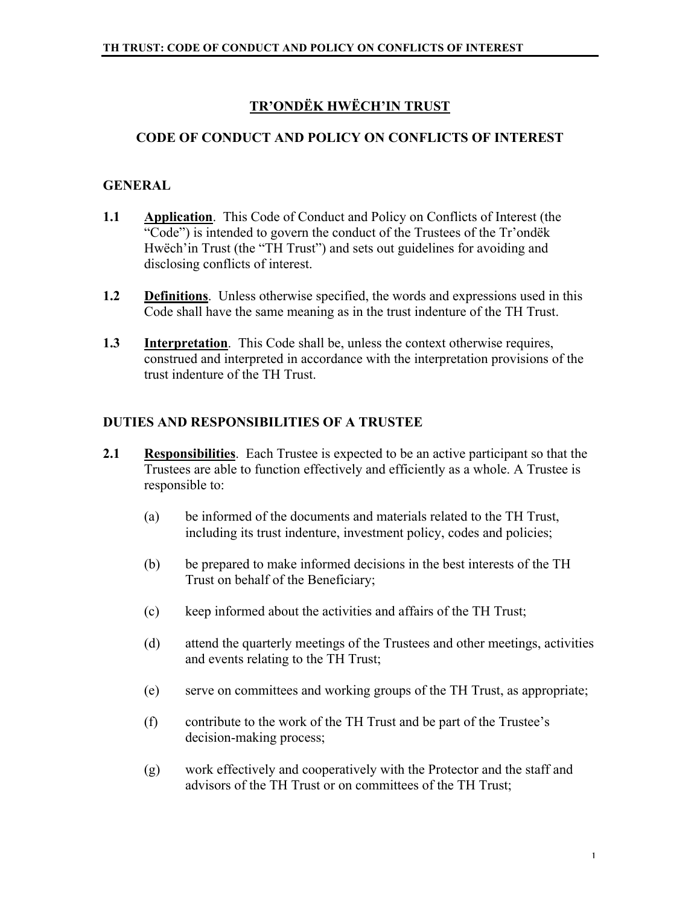# **TR'ONDËK HWËCH'IN TRUST**

## **CODE OF CONDUCT AND POLICY ON CONFLICTS OF INTEREST**

#### **GENERAL**

- **1.1 Application**. This Code of Conduct and Policy on Conflicts of Interest (the "Code") is intended to govern the conduct of the Trustees of the Tr'ondëk Hwëch'in Trust (the "TH Trust") and sets out guidelines for avoiding and disclosing conflicts of interest.
- **1.2 Definitions**. Unless otherwise specified, the words and expressions used in this Code shall have the same meaning as in the trust indenture of the TH Trust.
- **1.3 Interpretation**. This Code shall be, unless the context otherwise requires, construed and interpreted in accordance with the interpretation provisions of the trust indenture of the TH Trust.

#### **DUTIES AND RESPONSIBILITIES OF A TRUSTEE**

- **2.1 Responsibilities**. Each Trustee is expected to be an active participant so that the Trustees are able to function effectively and efficiently as a whole. A Trustee is responsible to:
	- (a) be informed of the documents and materials related to the TH Trust, including its trust indenture, investment policy, codes and policies;
	- (b) be prepared to make informed decisions in the best interests of the TH Trust on behalf of the Beneficiary;
	- (c) keep informed about the activities and affairs of the TH Trust;
	- (d) attend the quarterly meetings of the Trustees and other meetings, activities and events relating to the TH Trust;
	- (e) serve on committees and working groups of the TH Trust, as appropriate;
	- (f) contribute to the work of the TH Trust and be part of the Trustee's decision-making process;
	- (g) work effectively and cooperatively with the Protector and the staff and advisors of the TH Trust or on committees of the TH Trust;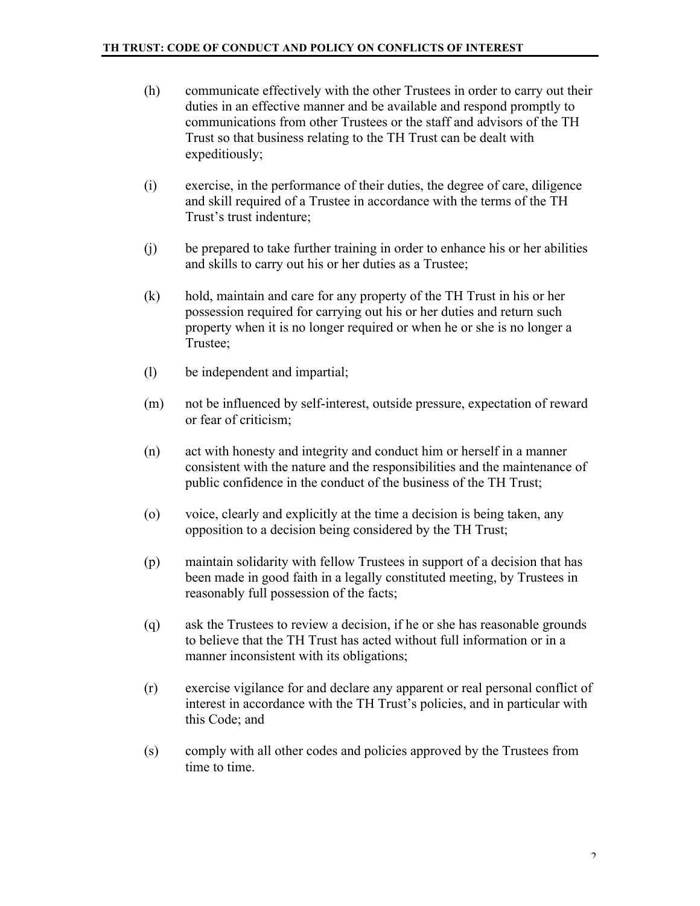- (h) communicate effectively with the other Trustees in order to carry out their duties in an effective manner and be available and respond promptly to communications from other Trustees or the staff and advisors of the TH Trust so that business relating to the TH Trust can be dealt with expeditiously;
- (i) exercise, in the performance of their duties, the degree of care, diligence and skill required of a Trustee in accordance with the terms of the TH Trust's trust indenture;
- (j) be prepared to take further training in order to enhance his or her abilities and skills to carry out his or her duties as a Trustee;
- (k) hold, maintain and care for any property of the TH Trust in his or her possession required for carrying out his or her duties and return such property when it is no longer required or when he or she is no longer a Trustee;
- (l) be independent and impartial;
- (m) not be influenced by self-interest, outside pressure, expectation of reward or fear of criticism;
- (n) act with honesty and integrity and conduct him or herself in a manner consistent with the nature and the responsibilities and the maintenance of public confidence in the conduct of the business of the TH Trust;
- (o) voice, clearly and explicitly at the time a decision is being taken, any opposition to a decision being considered by the TH Trust;
- (p) maintain solidarity with fellow Trustees in support of a decision that has been made in good faith in a legally constituted meeting, by Trustees in reasonably full possession of the facts;
- (q) ask the Trustees to review a decision, if he or she has reasonable grounds to believe that the TH Trust has acted without full information or in a manner inconsistent with its obligations;
- (r) exercise vigilance for and declare any apparent or real personal conflict of interest in accordance with the TH Trust's policies, and in particular with this Code; and
- (s) comply with all other codes and policies approved by the Trustees from time to time.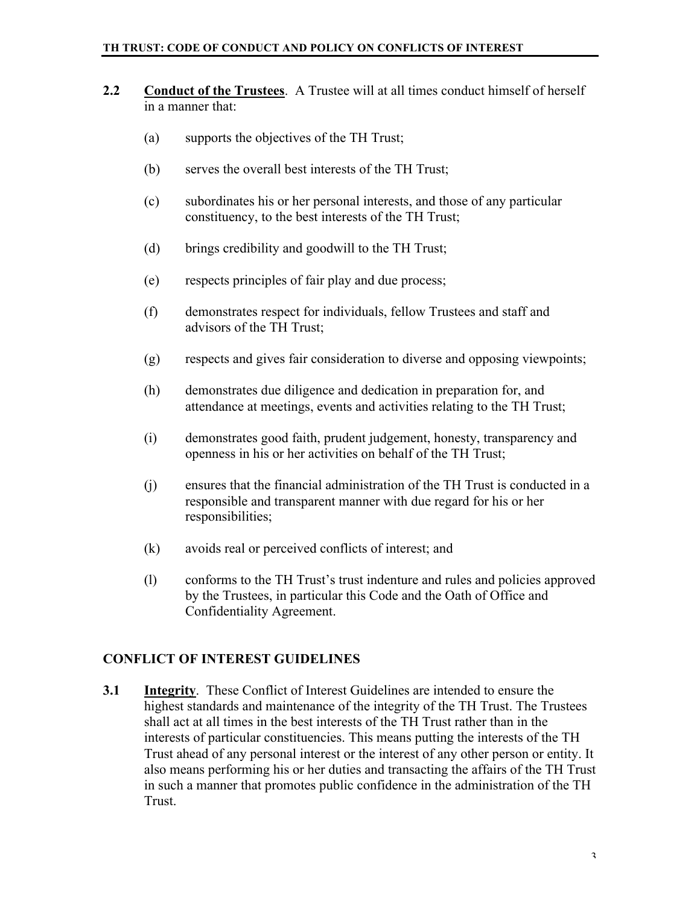- **2.2 Conduct of the Trustees**. A Trustee will at all times conduct himself of herself in a manner that:
	- (a) supports the objectives of the TH Trust;
	- (b) serves the overall best interests of the TH Trust;
	- (c) subordinates his or her personal interests, and those of any particular constituency, to the best interests of the TH Trust;
	- (d) brings credibility and goodwill to the TH Trust;
	- (e) respects principles of fair play and due process;
	- (f) demonstrates respect for individuals, fellow Trustees and staff and advisors of the TH Trust;
	- (g) respects and gives fair consideration to diverse and opposing viewpoints;
	- (h) demonstrates due diligence and dedication in preparation for, and attendance at meetings, events and activities relating to the TH Trust;
	- (i) demonstrates good faith, prudent judgement, honesty, transparency and openness in his or her activities on behalf of the TH Trust;
	- (j) ensures that the financial administration of the TH Trust is conducted in a responsible and transparent manner with due regard for his or her responsibilities;
	- (k) avoids real or perceived conflicts of interest; and
	- (l) conforms to the TH Trust's trust indenture and rules and policies approved by the Trustees, in particular this Code and the Oath of Office and Confidentiality Agreement.

#### **CONFLICT OF INTEREST GUIDELINES**

**3.1 Integrity**. These Conflict of Interest Guidelines are intended to ensure the highest standards and maintenance of the integrity of the TH Trust. The Trustees shall act at all times in the best interests of the TH Trust rather than in the interests of particular constituencies. This means putting the interests of the TH Trust ahead of any personal interest or the interest of any other person or entity. It also means performing his or her duties and transacting the affairs of the TH Trust in such a manner that promotes public confidence in the administration of the TH Trust.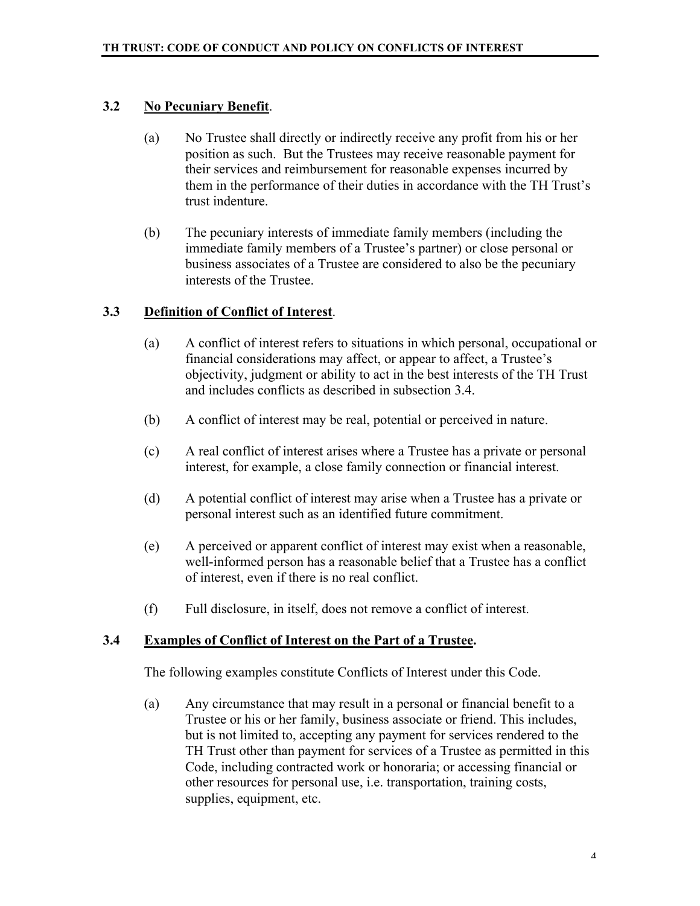#### **3.2 No Pecuniary Benefit**.

- (a) No Trustee shall directly or indirectly receive any profit from his or her position as such. But the Trustees may receive reasonable payment for their services and reimbursement for reasonable expenses incurred by them in the performance of their duties in accordance with the TH Trust's trust indenture.
- (b) The pecuniary interests of immediate family members (including the immediate family members of a Trustee's partner) or close personal or business associates of a Trustee are considered to also be the pecuniary interests of the Trustee.

#### **3.3 Definition of Conflict of Interest**.

- (a) A conflict of interest refers to situations in which personal, occupational or financial considerations may affect, or appear to affect, a Trustee's objectivity, judgment or ability to act in the best interests of the TH Trust and includes conflicts as described in subsection 3.4.
- (b) A conflict of interest may be real, potential or perceived in nature.
- (c) A real conflict of interest arises where a Trustee has a private or personal interest, for example, a close family connection or financial interest.
- (d) A potential conflict of interest may arise when a Trustee has a private or personal interest such as an identified future commitment.
- (e) A perceived or apparent conflict of interest may exist when a reasonable, well-informed person has a reasonable belief that a Trustee has a conflict of interest, even if there is no real conflict.
- (f) Full disclosure, in itself, does not remove a conflict of interest.

#### **3.4 Examples of Conflict of Interest on the Part of a Trustee.**

The following examples constitute Conflicts of Interest under this Code.

(a) Any circumstance that may result in a personal or financial benefit to a Trustee or his or her family, business associate or friend. This includes, but is not limited to, accepting any payment for services rendered to the TH Trust other than payment for services of a Trustee as permitted in this Code, including contracted work or honoraria; or accessing financial or other resources for personal use, i.e. transportation, training costs, supplies, equipment, etc.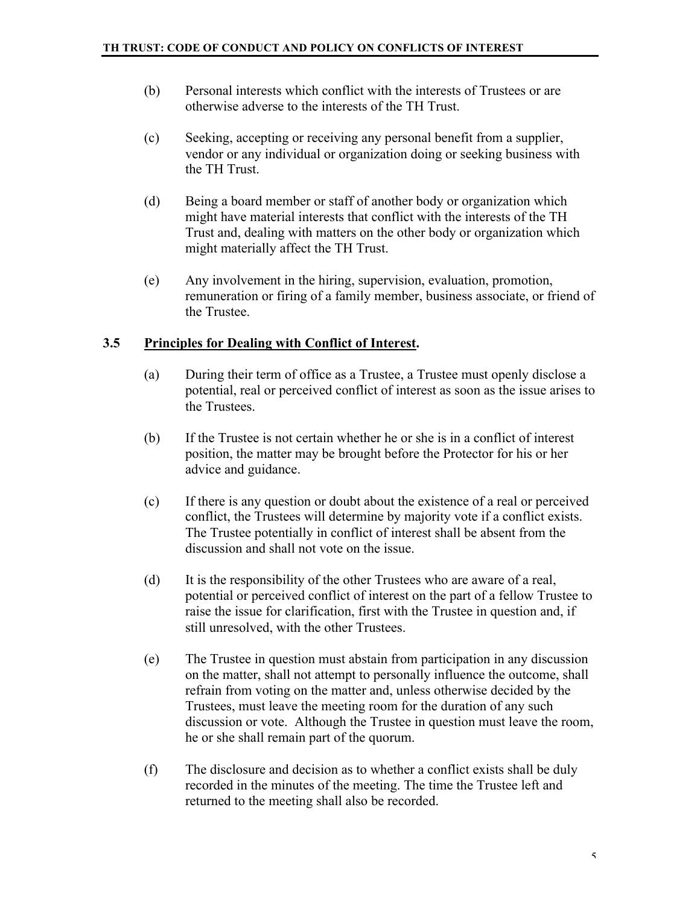- (b) Personal interests which conflict with the interests of Trustees or are otherwise adverse to the interests of the TH Trust.
- (c) Seeking, accepting or receiving any personal benefit from a supplier, vendor or any individual or organization doing or seeking business with the TH Trust.
- (d) Being a board member or staff of another body or organization which might have material interests that conflict with the interests of the TH Trust and, dealing with matters on the other body or organization which might materially affect the TH Trust.
- (e) Any involvement in the hiring, supervision, evaluation, promotion, remuneration or firing of a family member, business associate, or friend of the Trustee.

#### **3.5 Principles for Dealing with Conflict of Interest.**

- (a) During their term of office as a Trustee, a Trustee must openly disclose a potential, real or perceived conflict of interest as soon as the issue arises to the Trustees.
- (b) If the Trustee is not certain whether he or she is in a conflict of interest position, the matter may be brought before the Protector for his or her advice and guidance.
- (c) If there is any question or doubt about the existence of a real or perceived conflict, the Trustees will determine by majority vote if a conflict exists. The Trustee potentially in conflict of interest shall be absent from the discussion and shall not vote on the issue.
- (d) It is the responsibility of the other Trustees who are aware of a real, potential or perceived conflict of interest on the part of a fellow Trustee to raise the issue for clarification, first with the Trustee in question and, if still unresolved, with the other Trustees.
- (e) The Trustee in question must abstain from participation in any discussion on the matter, shall not attempt to personally influence the outcome, shall refrain from voting on the matter and, unless otherwise decided by the Trustees, must leave the meeting room for the duration of any such discussion or vote. Although the Trustee in question must leave the room, he or she shall remain part of the quorum.
- (f) The disclosure and decision as to whether a conflict exists shall be duly recorded in the minutes of the meeting. The time the Trustee left and returned to the meeting shall also be recorded.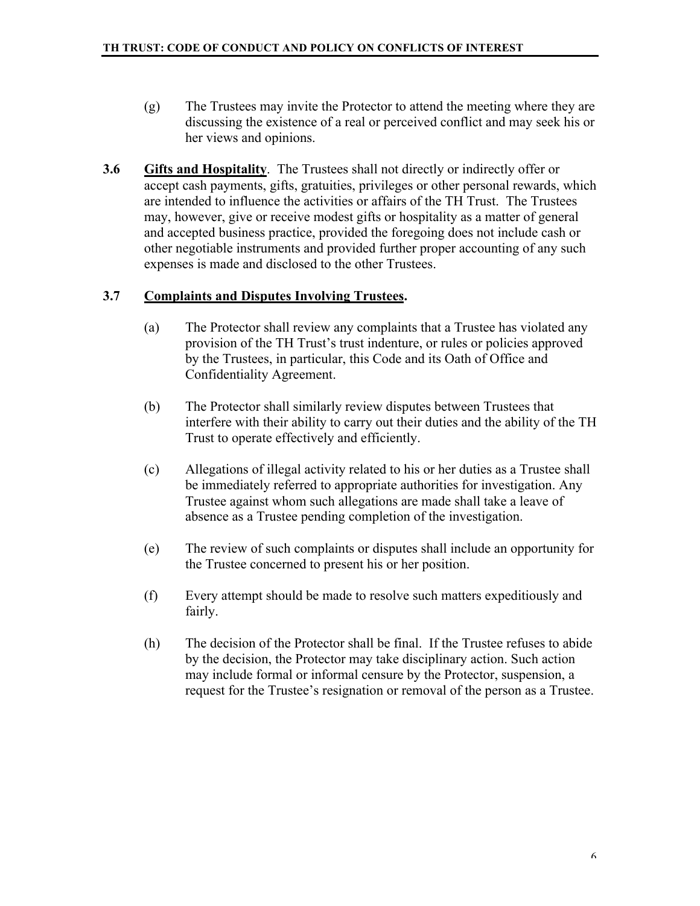- (g) The Trustees may invite the Protector to attend the meeting where they are discussing the existence of a real or perceived conflict and may seek his or her views and opinions.
- **3.6 Gifts and Hospitality**. The Trustees shall not directly or indirectly offer or accept cash payments, gifts, gratuities, privileges or other personal rewards, which are intended to influence the activities or affairs of the TH Trust. The Trustees may, however, give or receive modest gifts or hospitality as a matter of general and accepted business practice, provided the foregoing does not include cash or other negotiable instruments and provided further proper accounting of any such expenses is made and disclosed to the other Trustees.

# **3.7 Complaints and Disputes Involving Trustees.**

- (a) The Protector shall review any complaints that a Trustee has violated any provision of the TH Trust's trust indenture, or rules or policies approved by the Trustees, in particular, this Code and its Oath of Office and Confidentiality Agreement.
- (b) The Protector shall similarly review disputes between Trustees that interfere with their ability to carry out their duties and the ability of the TH Trust to operate effectively and efficiently.
- (c) Allegations of illegal activity related to his or her duties as a Trustee shall be immediately referred to appropriate authorities for investigation. Any Trustee against whom such allegations are made shall take a leave of absence as a Trustee pending completion of the investigation.
- (e) The review of such complaints or disputes shall include an opportunity for the Trustee concerned to present his or her position.
- (f) Every attempt should be made to resolve such matters expeditiously and fairly.
- (h) The decision of the Protector shall be final. If the Trustee refuses to abide by the decision, the Protector may take disciplinary action. Such action may include formal or informal censure by the Protector, suspension, a request for the Trustee's resignation or removal of the person as a Trustee.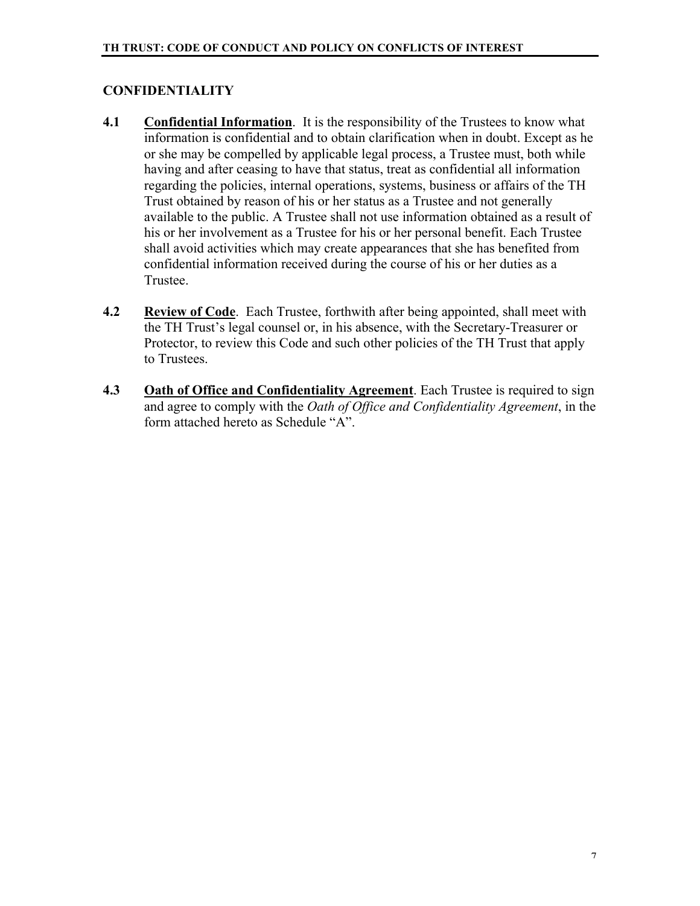# **CONFIDENTIALITY**

- **4.1 Confidential Information**. It is the responsibility of the Trustees to know what information is confidential and to obtain clarification when in doubt. Except as he or she may be compelled by applicable legal process, a Trustee must, both while having and after ceasing to have that status, treat as confidential all information regarding the policies, internal operations, systems, business or affairs of the TH Trust obtained by reason of his or her status as a Trustee and not generally available to the public. A Trustee shall not use information obtained as a result of his or her involvement as a Trustee for his or her personal benefit. Each Trustee shall avoid activities which may create appearances that she has benefited from confidential information received during the course of his or her duties as a Trustee.
- **4.2 Review of Code**. Each Trustee, forthwith after being appointed, shall meet with the TH Trust's legal counsel or, in his absence, with the Secretary-Treasurer or Protector, to review this Code and such other policies of the TH Trust that apply to Trustees.
- **4.3 Oath of Office and Confidentiality Agreement**. Each Trustee is required to sign and agree to comply with the *Oath of Office and Confidentiality Agreement*, in the form attached hereto as Schedule "A".